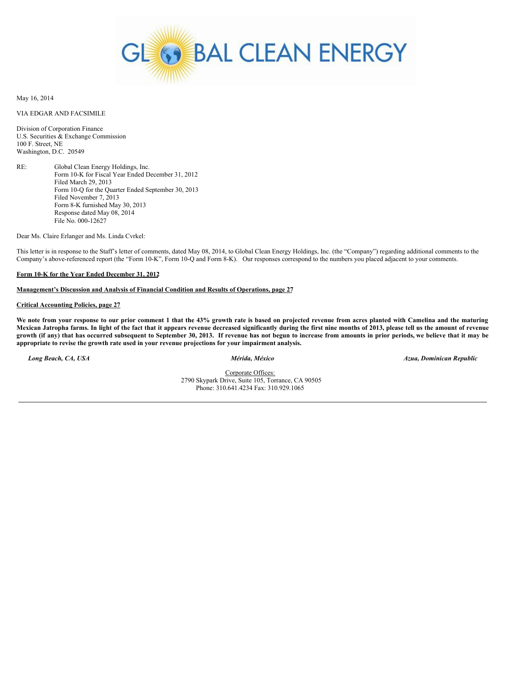

May 16, 2014

# VIA EDGAR AND FACSIMILE

Division of Corporation Finance U.S. Securities & Exchange Commission 100 F. Street, NE Washington, D.C. 20549

RE: Global Clean Energy Holdings, Inc. Form 10-K for Fiscal Year Ended December 31, 2012 Filed March 29, 2013 Form 10-Q for the Quarter Ended September 30, 2013 Filed November 7, 2013 Form 8-K furnished May 30, 2013 Response dated May 08, 2014 File No. 000-12627

Dear Ms. Claire Erlanger and Ms. Linda Cvrkel:

This letter is in response to the Staff's letter of comments, dated May 08, 2014, to Global Clean Energy Holdings, Inc. (the "Company") regarding additional comments to the Company's above-referenced report (the "Form 10-K", Form 10-Q and Form 8-K). Our responses correspond to the numbers you placed adjacent to your comments.

### **Form 10-K for the Year Ended December 31, 2012**

# **Management's Discussion and Analysis of Financial Condition and Results of Operations, page 27**

### **Critical Accounting Policies, page 27**

We note from your response to our prior comment 1 that the 43% growth rate is based on projected revenue from acres planted with Camelina and the maturing Mexican Jatropha farms. In light of the fact that it appears revenue decreased significantly during the first nine months of 2013, please tell us the amount of revenue growth (if any) that has occurred subsequent to September 30, 2013. If revenue has not begun to increase from amounts in prior periods, we believe that it may be **appropriate to revise the growth rate used in your revenue projections for your impairment analysis.**

*Long Beach, CA, USA Mérida, México Azua, Dominican Republic*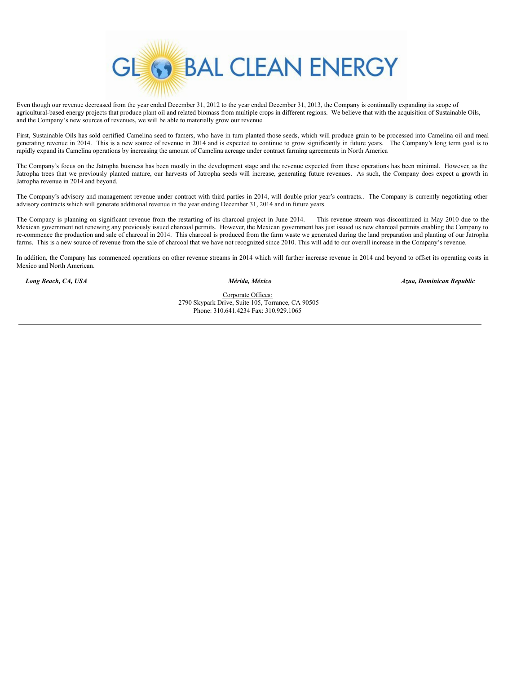

Even though our revenue decreased from the year ended December 31, 2012 to the year ended December 31, 2013, the Company is continually expanding its scope of agricultural-based energy projects that produce plant oil and related biomass from multiple crops in different regions. We believe that with the acquisition of Sustainable Oils, and the Company's new sources of revenues, we will be able to materially grow our revenue.

First, Sustainable Oils has sold certified Camelina seed to famers, who have in turn planted those seeds, which will produce grain to be processed into Camelina oil and meal generating revenue in 2014. This is a new source of revenue in 2014 and is expected to continue to grow significantly in future years. The Company's long term goal is to rapidly expand its Camelina operations by increasing the amount of Camelina acreage under contract farming agreements in North America

The Company's focus on the Jatropha business has been mostly in the development stage and the revenue expected from these operations has been minimal. However, as the Jatropha trees that we previously planted mature, our harvests of Jatropha seeds will increase, generating future revenues. As such, the Company does expect a growth in Jatropha revenue in 2014 and beyond.

The Company's advisory and management revenue under contract with third parties in 2014, will double prior year's contracts.. The Company is currently negotiating other advisory contracts which will generate additional revenue in the year ending December 31, 2014 and in future years.

The Company is planning on significant revenue from the restarting of its charcoal project in June 2014. This revenue stream was discontinued in May 2010 due to the Mexican government not renewing any previously issued charcoal permits. However, the Mexican government has just issued us new charcoal permits enabling the Company to re-commence the production and sale of charcoal in 2014. This charcoal is produced from the farm waste we generated during the land preparation and planting of our Jatropha farms. This is a new source of revenue from the sale of charcoal that we have not recognized since 2010. This will add to our overall increase in the Company's revenue.

In addition, the Company has commenced operations on other revenue streams in 2014 which will further increase revenue in 2014 and beyond to offset its operating costs in Mexico and North American.

*Long Beach, CA, USA Mérida, México Azua, Dominican Republic*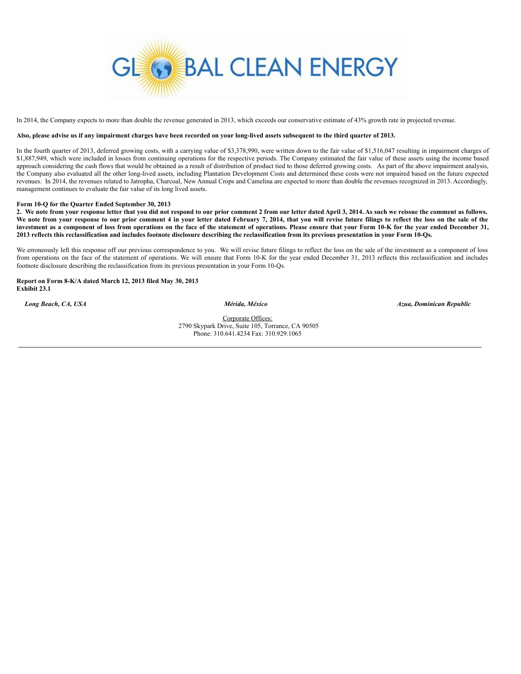

In 2014, the Company expects to more than double the revenue generated in 2013, which exceeds our conservative estimate of 43% growth rate in projected revenue.

# Also, please advise us if any impairment charges have been recorded on your long-lived assets subsequent to the third quarter of 2013.

In the fourth quarter of 2013, deferred growing costs, with a carrying value of \$3,378,990, were written down to the fair value of \$1,516,047 resulting in impairment charges of \$1,887,949, which were included in losses from continuing operations for the respective periods. The Company estimated the fair value of these assets using the income based approach considering the cash flows that would be obtained as a result of distribution of product tied to those deferred growing costs. As part of the above impairment analysis, the Company also evaluated all the other long-lived assets, including Plantation Development Costs and determined these costs were not impaired based on the future expected revenues. In 2014, the revenues related to Jatropha, Charcoal, New Annual Crops and Camelina are expected to more than double the revenues recognized in 2013. Accordingly, management continues to evaluate the fair value of its long lived assets.

### **Form 10-Q for the Quarter Ended September 30, 2013**

2. We note from your response letter that you did not respond to our prior comment 2 from our letter dated April 3, 2014. As such we reissue the comment as follows. We note from your response to our prior comment 4 in your letter dated February 7, 2014, that you will revise future filings to reflect the loss on the sale of the investment as a component of loss from operations on the face of the statement of operations. Please ensure that your Form 10-K for the year ended December 31, 2013 reflects this reclassification and includes footnote disclosure describing the reclassification from its previous presentation in your Form 10-Qs.

We erroneously left this response off our previous correspondence to you. We will revise future filings to reflect the loss on the sale of the investment as a component of loss from operations on the face of the statement of operations. We will ensure that Form 10-K for the year ended December 31, 2013 reflects this reclassification and includes footnote disclosure describing the reclassification from its previous presentation in your Form 10-Qs.

**Report on Form 8-K/A dated March 12, 2013 filed May 30, 2013 Exhibit 23.1**

*Long Beach, CA, USA Mérida, México Azua, Dominican Republic*